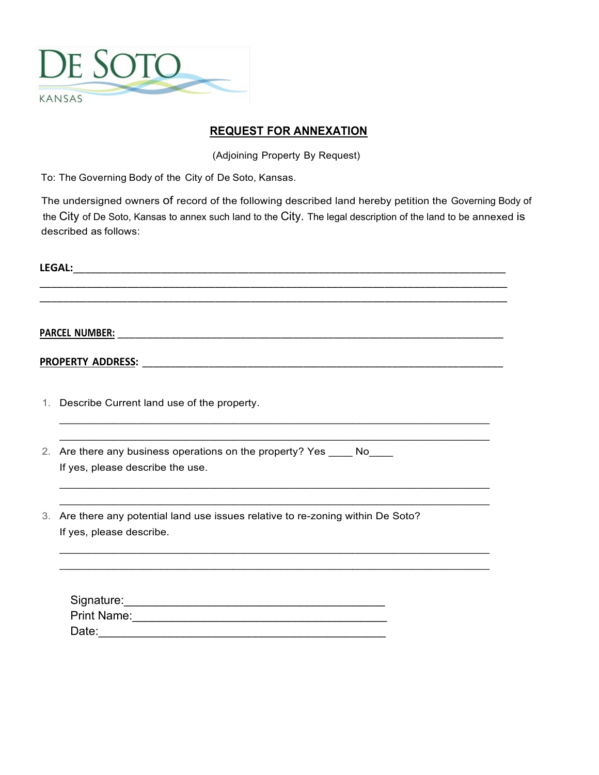

## **REQUEST FOR ANNEXATION**

(Adjoining Property By Request)

To: The Governing Body of the City of De Soto, Kansas.

The undersigned owners of record of the following described land hereby petition the Governing Body of the City of De Soto, Kansas to annex such land to the City. The legal description of the land to be annexed is described as follows:

| <b>LEGAL:</b>                                                                                                   |
|-----------------------------------------------------------------------------------------------------------------|
|                                                                                                                 |
|                                                                                                                 |
|                                                                                                                 |
|                                                                                                                 |
|                                                                                                                 |
| 1. Describe Current land use of the property.                                                                   |
| 2. Are there any business operations on the property? Yes _____ No____<br>If yes, please describe the use.      |
| 3. Are there any potential land use issues relative to re-zoning within De Soto?<br>If yes, please describe.    |
| Print Name: Manual Andrew Manual Andrew Manual Andrew Manual Andrew Manual Andrew Manual Andrew Manual Andrew M |
|                                                                                                                 |